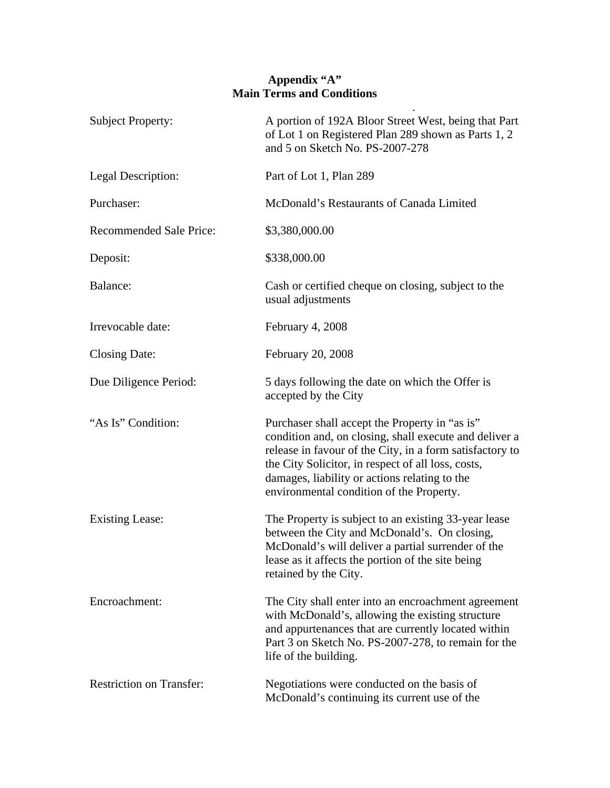## **Appendix "A" Main Terms and Conditions**

| <b>Subject Property:</b>        | A portion of 192A Bloor Street West, being that Part<br>of Lot 1 on Registered Plan 289 shown as Parts 1, 2<br>and 5 on Sketch No. PS-2007-278                                                                                                                                                                          |
|---------------------------------|-------------------------------------------------------------------------------------------------------------------------------------------------------------------------------------------------------------------------------------------------------------------------------------------------------------------------|
| Legal Description:              | Part of Lot 1, Plan 289                                                                                                                                                                                                                                                                                                 |
| Purchaser:                      | McDonald's Restaurants of Canada Limited                                                                                                                                                                                                                                                                                |
| <b>Recommended Sale Price:</b>  | \$3,380,000.00                                                                                                                                                                                                                                                                                                          |
| Deposit:                        | \$338,000.00                                                                                                                                                                                                                                                                                                            |
| Balance:                        | Cash or certified cheque on closing, subject to the<br>usual adjustments                                                                                                                                                                                                                                                |
| Irrevocable date:               | February 4, 2008                                                                                                                                                                                                                                                                                                        |
| <b>Closing Date:</b>            | February 20, 2008                                                                                                                                                                                                                                                                                                       |
| Due Diligence Period:           | 5 days following the date on which the Offer is<br>accepted by the City                                                                                                                                                                                                                                                 |
| "As Is" Condition:              | Purchaser shall accept the Property in "as is"<br>condition and, on closing, shall execute and deliver a<br>release in favour of the City, in a form satisfactory to<br>the City Solicitor, in respect of all loss, costs,<br>damages, liability or actions relating to the<br>environmental condition of the Property. |
| <b>Existing Lease:</b>          | The Property is subject to an existing 33-year lease<br>between the City and McDonald's. On closing,<br>McDonald's will deliver a partial surrender of the<br>lease as it affects the portion of the site being<br>retained by the City.                                                                                |
| Encroachment:                   | The City shall enter into an encroachment agreement<br>with McDonald's, allowing the existing structure<br>and appurtenances that are currently located within<br>Part 3 on Sketch No. PS-2007-278, to remain for the<br>life of the building.                                                                          |
| <b>Restriction on Transfer:</b> | Negotiations were conducted on the basis of<br>McDonald's continuing its current use of the                                                                                                                                                                                                                             |